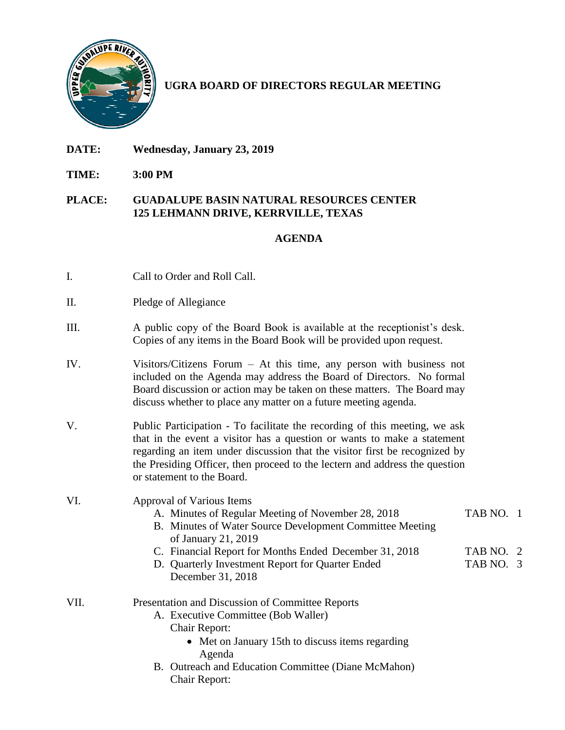

## **UGRA BOARD OF DIRECTORS REGULAR MEETING**

- **DATE: Wednesday, January 23, 2019**
- **TIME: 3:00 PM**

## **PLACE: GUADALUPE BASIN NATURAL RESOURCES CENTER 125 LEHMANN DRIVE, KERRVILLE, TEXAS**

## **AGENDA**

- I. Call to Order and Roll Call.
- II. Pledge of Allegiance
- III. A public copy of the Board Book is available at the receptionist's desk. Copies of any items in the Board Book will be provided upon request.
- IV. Visitors/Citizens Forum At this time, any person with business not included on the Agenda may address the Board of Directors. No formal Board discussion or action may be taken on these matters. The Board may discuss whether to place any matter on a future meeting agenda.
- V. Public Participation To facilitate the recording of this meeting, we ask that in the event a visitor has a question or wants to make a statement regarding an item under discussion that the visitor first be recognized by the Presiding Officer, then proceed to the lectern and address the question or statement to the Board.

## VI. Approval of Various Items

- A. Minutes of Regular Meeting of November 28, 2018 TAB NO. 1
- B. Minutes of Water Source Development Committee Meeting of January 21, 2019
- C. Financial Report for Months Ended December 31, 2018 TAB NO. 2
- D. Quarterly Investment Report for Quarter Ended TAB NO. 3 December 31, 2018
- VII. Presentation and Discussion of Committee Reports A. Executive Committee (Bob Waller)
	- Chair Report:
		- Met on January 15th to discuss items regarding Agenda
	- B. Outreach and Education Committee (Diane McMahon) Chair Report: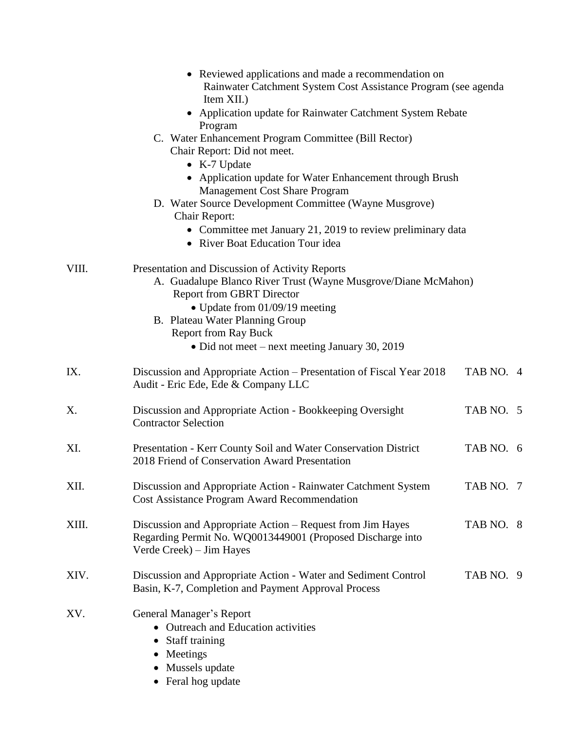|       | • Reviewed applications and made a recommendation on<br>Rainwater Catchment System Cost Assistance Program (see agenda<br>Item XII.)                                                                                                                                                                        |           |  |  |  |
|-------|-------------------------------------------------------------------------------------------------------------------------------------------------------------------------------------------------------------------------------------------------------------------------------------------------------------|-----------|--|--|--|
|       | • Application update for Rainwater Catchment System Rebate<br>Program                                                                                                                                                                                                                                       |           |  |  |  |
|       | C. Water Enhancement Program Committee (Bill Rector)<br>Chair Report: Did not meet.<br>• K-7 Update<br>• Application update for Water Enhancement through Brush                                                                                                                                             |           |  |  |  |
|       | <b>Management Cost Share Program</b><br>D. Water Source Development Committee (Wayne Musgrove)<br>Chair Report:<br>• Committee met January 21, 2019 to review preliminary data                                                                                                                              |           |  |  |  |
|       | • River Boat Education Tour idea                                                                                                                                                                                                                                                                            |           |  |  |  |
| VIII. | Presentation and Discussion of Activity Reports<br>A. Guadalupe Blanco River Trust (Wayne Musgrove/Diane McMahon)<br><b>Report from GBRT Director</b><br>• Update from 01/09/19 meeting<br>B. Plateau Water Planning Group<br><b>Report from Ray Buck</b><br>• Did not meet – next meeting January 30, 2019 |           |  |  |  |
| IX.   | Discussion and Appropriate Action – Presentation of Fiscal Year 2018<br>Audit - Eric Ede, Ede & Company LLC                                                                                                                                                                                                 | TAB NO. 4 |  |  |  |
| X.    | Discussion and Appropriate Action - Bookkeeping Oversight<br><b>Contractor Selection</b>                                                                                                                                                                                                                    | TAB NO. 5 |  |  |  |
| XI.   | Presentation - Kerr County Soil and Water Conservation District<br>2018 Friend of Conservation Award Presentation                                                                                                                                                                                           | TAB NO. 6 |  |  |  |
| XII.  | Discussion and Appropriate Action - Rainwater Catchment System<br><b>Cost Assistance Program Award Recommendation</b>                                                                                                                                                                                       | TAB NO. 7 |  |  |  |
| XIII. | Discussion and Appropriate Action – Request from Jim Hayes<br>Regarding Permit No. WQ0013449001 (Proposed Discharge into<br>Verde Creek) – Jim Hayes                                                                                                                                                        | TAB NO. 8 |  |  |  |
| XIV.  | Discussion and Appropriate Action - Water and Sediment Control<br>Basin, K-7, Completion and Payment Approval Process                                                                                                                                                                                       | TAB NO. 9 |  |  |  |
| XV.   | General Manager's Report<br>• Outreach and Education activities<br>Staff training<br>Meetings<br>Mussels update<br>Feral hog update                                                                                                                                                                         |           |  |  |  |